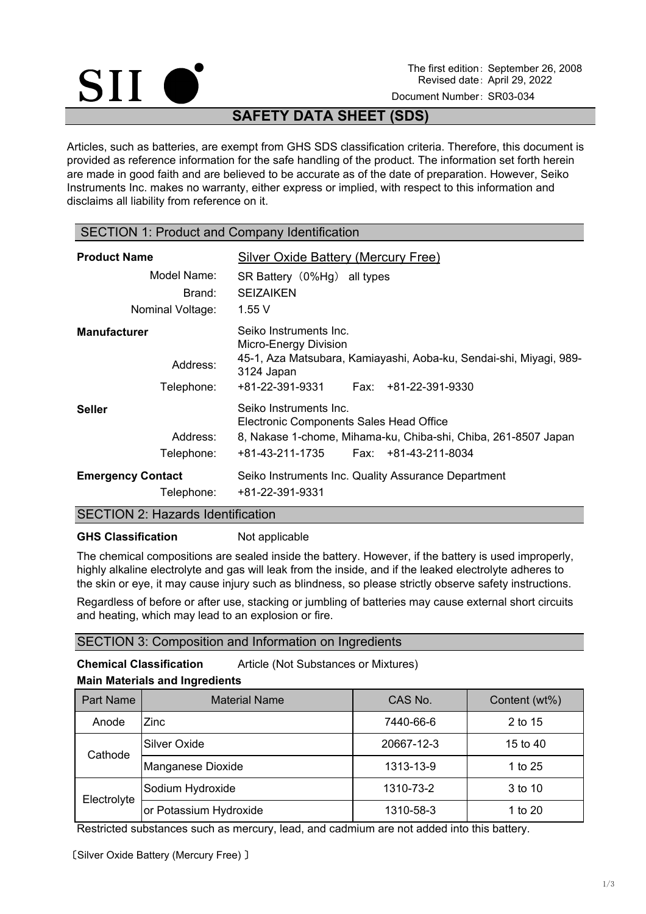

The first edition: September 26, 2008 Revised date: April 29, 2022

Document Number: SR03-034

# **SAFETY DATA SHEET (SDS)**

Articles, such as batteries, are exempt from GHS SDS classification criteria. Therefore, this document is provided as reference information for the safe handling of the product. The information set forth herein are made in good faith and are believed to be accurate as of the date of preparation. However, Seiko Instruments Inc. makes no warranty, either express or implied, with respect to this information and disclaims all liability from reference on it.

### SECTION 1: Product and Company Identification

| <b>Product Name</b>                           | Silver Oxide Battery (Mercury Free)                                                                                                                                                     |
|-----------------------------------------------|-----------------------------------------------------------------------------------------------------------------------------------------------------------------------------------------|
| Model Name:                                   | SR Battery (0%Hg) all types                                                                                                                                                             |
| Brand:                                        | <b>SEIZAIKEN</b>                                                                                                                                                                        |
| Nominal Voltage:                              | 1.55V                                                                                                                                                                                   |
| <b>Manufacturer</b><br>Address:<br>Telephone: | Seiko Instruments Inc.<br>Micro-Energy Division<br>45-1, Aza Matsubara, Kamiayashi, Aoba-ku, Sendai-shi, Miyagi, 989-<br>3124 Japan<br>+81-22-391-9331<br>Fax: +81-22-391-9330          |
| <b>Seller</b><br>Address:<br>Telephone:       | Seiko Instruments Inc.<br><b>Electronic Components Sales Head Office</b><br>8, Nakase 1-chome, Mihama-ku, Chiba-shi, Chiba, 261-8507 Japan<br>Fax: $+81-43-211-8034$<br>+81-43-211-1735 |
| <b>Emergency Contact</b>                      | Seiko Instruments Inc. Quality Assurance Department                                                                                                                                     |
| Telephone:                                    | +81-22-391-9331                                                                                                                                                                         |

### SECTION 2: Hazards Identification

### **GHS Classification** Not applicable

The chemical compositions are sealed inside the battery. However, if the battery is used improperly, highly alkaline electrolyte and gas will leak from the inside, and if the leaked electrolyte adheres to the skin or eye, it may cause injury such as blindness, so please strictly observe safety instructions.

Regardless of before or after use, stacking or jumbling of batteries may cause external short circuits and heating, which may lead to an explosion or fire.

# SECTION 3: Composition and Information on Ingredients

**Chemical Classification** Article (Not Substances or Mixtures)

# **Main Materials and Ingredients**

| <b>Part Name</b> | <b>Material Name</b>   | CAS No.    | Content (wt%) |
|------------------|------------------------|------------|---------------|
| Anode            | Zinc                   | 7440-66-6  | 2 to 15       |
| Cathode          | Silver Oxide           | 20667-12-3 | 15 to 40      |
|                  | Manganese Dioxide      | 1313-13-9  | 1 to 25       |
| Electrolyte      | Sodium Hydroxide       | 1310-73-2  | 3 to 10       |
|                  | or Potassium Hydroxide | 1310-58-3  | 1 to 20       |

Restricted substances such as mercury, lead, and cadmium are not added into this battery.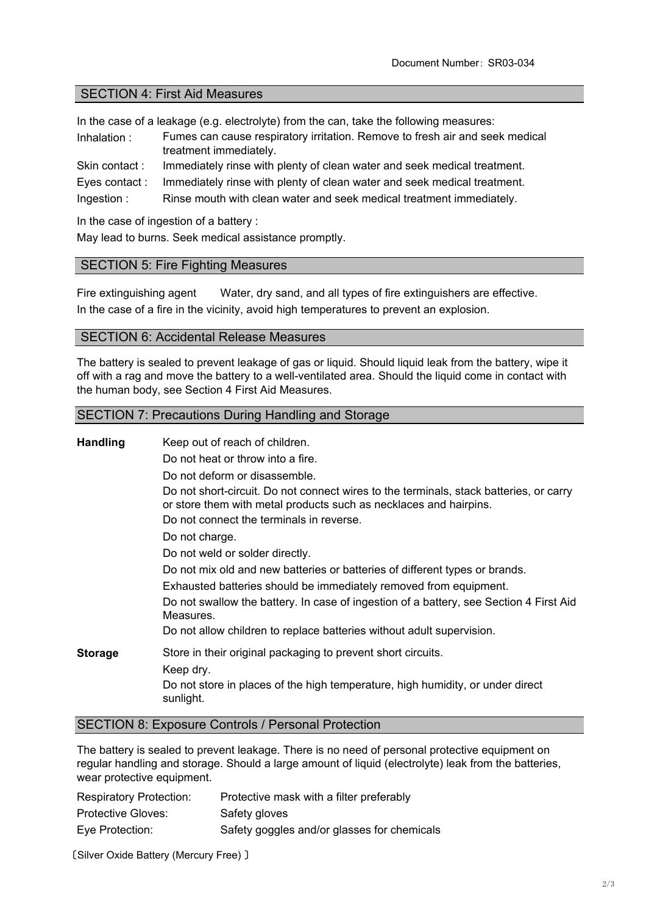### SECTION 4: First Aid Measures

In the case of a leakage (e.g. electrolyte) from the can, take the following measures:

- Inhalation : Fumes can cause respiratory irritation. Remove to fresh air and seek medical treatment immediately.
- Skin contact : Immediately rinse with plenty of clean water and seek medical treatment.
- Immediately rinse with plenty of clean water and seek medical treatment. Eyes contact :

Ingestion : Rinse mouth with clean water and seek medical treatment immediately.

In the case of ingestion of a battery :

May lead to burns. Seek medical assistance promptly.

### SECTION 5: Fire Fighting Measures

Fire extinguishing agent Water, dry sand, and all types of fire extinguishers are effective. In the case of a fire in the vicinity, avoid high temperatures to prevent an explosion.

### SECTION 6: Accidental Release Measures

The battery is sealed to prevent leakage of gas or liquid. Should liquid leak from the battery, wipe it off with a rag and move the battery to a well-ventilated area. Should the liquid come in contact with the human body, see Section 4 First Aid Measures.

### SECTION 7: Precautions During Handling and Storage

| <b>Handling</b> | Keep out of reach of children.<br>Do not heat or throw into a fire.<br>Do not deform or disassemble.<br>Do not short-circuit. Do not connect wires to the terminals, stack batteries, or carry<br>or store them with metal products such as necklaces and hairpins.<br>Do not connect the terminals in reverse. |  |
|-----------------|-----------------------------------------------------------------------------------------------------------------------------------------------------------------------------------------------------------------------------------------------------------------------------------------------------------------|--|
|                 | Do not charge.<br>Do not weld or solder directly.<br>Do not mix old and new batteries or batteries of different types or brands.                                                                                                                                                                                |  |
|                 | Exhausted batteries should be immediately removed from equipment.<br>Do not swallow the battery. In case of ingestion of a battery, see Section 4 First Aid<br>Measures.<br>Do not allow children to replace batteries without adult supervision.                                                               |  |
| <b>Storage</b>  | Store in their original packaging to prevent short circuits.<br>Keep dry.<br>Do not store in places of the high temperature, high humidity, or under direct<br>sunlight.                                                                                                                                        |  |

### SECTION 8: Exposure Controls / Personal Protection

The battery is sealed to prevent leakage. There is no need of personal protective equipment on regular handling and storage. Should a large amount of liquid (electrolyte) leak from the batteries, wear protective equipment.

| <b>Respiratory Protection:</b> | Protective mask with a filter preferably    |
|--------------------------------|---------------------------------------------|
| <b>Protective Gloves:</b>      | Safety gloves                               |
| Eye Protection:                | Safety goggles and/or glasses for chemicals |

〔Silver Oxide Battery (Mercury Free) 〕